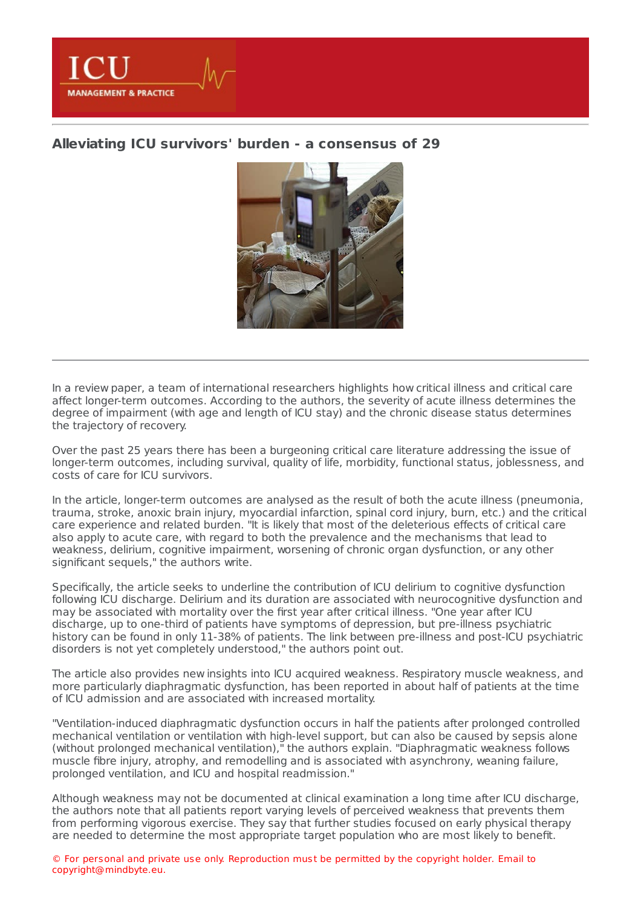

## **Alleviating ICU survivors' burden - a [consensus](https://healthmanagement.org/s/alleviating-icu-survivors-burden-a-consensus-of-29) of 29**



In a review paper, a team of international researchers highlights how critical illness and critical care affect longer-term outcomes. According to the authors, the severity of acute illness determines the degree of impairment (with age and length of ICU stay) and the chronic disease status determines the trajectory of recovery.

Over the past 25 years there has been a burgeoning critical care literature addressing the issue of longer-term outcomes, including survival, quality of life, morbidity, functional status, joblessness, and costs of care for ICU survivors.

In the article, longer-term outcomes are analysed as the result of both the acute illness (pneumonia, trauma, stroke, anoxic brain injury, myocardial infarction, spinal cord injury, burn, etc.) and the critical care experience and related burden. "It is likely that most of the deleterious effects of critical care also apply to acute care, with regard to both the prevalence and the mechanisms that lead to weakness, delirium, cognitive impairment, worsening of chronic organ dysfunction, or any other significant sequels," the authors write.

Specifically, the article seeks to underline the contribution of ICU delirium to cognitive dysfunction following ICU discharge. Delirium and its duration are associated with neurocognitive dysfunction and may be associated with mortality over the first year after critical illness. "One year after ICU discharge, up to one-third of patients have symptoms of depression, but pre-illness psychiatric history can be found in only 11-38% of patients. The link between pre-illness and post-ICU psychiatric disorders is not yet completely understood," the authors point out.

The article also provides new insights into ICU acquired weakness. Respiratory muscle weakness, and more particularly diaphragmatic dysfunction, has been reported in about half of patients at the time of ICU admission and are associated with increased mortality.

"Ventilation-induced diaphragmatic dysfunction occurs in half the patients after prolonged controlled mechanical ventilation or ventilation with high-level support, but can also be caused by sepsis alone (without prolonged mechanical ventilation)," the authors explain. "Diaphragmatic weakness follows muscle fibre injury, atrophy, and remodelling and is associated with asynchrony, weaning failure, prolonged ventilation, and ICU and hospital readmission."

Although weakness may not be documented at clinical examination a long time after ICU discharge, the authors note that all patients report varying levels of perceived weakness that prevents them from performing vigorous exercise. They say that further studies focused on early physical therapy are needed to determine the most appropriate target population who are most likely to benefit.

© For personal and private use only. Reproduction must be permitted by the copyright holder. Email to copyright@mindbyte.eu.